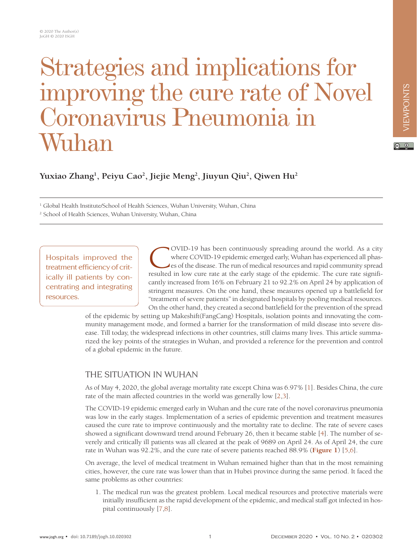# Strategies and implications for improving the cure rate of Novel Coronavirus Pneumonia in Wuhan

## **Yuxiao Zhang1 , Peiyu Cao2 , Jiejie Meng2 , Jiuyun Qiu2 , Qiwen Hu2**

<sup>1</sup> Global Health Institute/School of Health Sciences, Wuhan University, Wuhan, China

2 School of Health Sciences, Wuhan University, Wuhan, China

Hospitals improved the treatment efficiency of critically ill patients by concentrating and integrating resources.

COVID-19 has been continuously spreading around the world. As a city where COVID-19 epidemic emerged early, Wuhan has experienced all phases of the disease. The run of medical resources and rapid community spread resulted in low cure rate at the early stage of the epidemic. The cure rate significantly increased from 16% on February 21 to 92.2% on April 24 by application of stringent measures. On the one hand, these measures opened up a battlefield for "treatment of severe patients" in designated hospitals by pooling medical resources. On the other hand, they created a second battlefield for the prevention of the spread

of the epidemic by setting up Makeshift(FangCang) Hospitals, isolation points and innovating the community management mode, and formed a barrier for the transformation of mild disease into severe disease. Till today, the widespread infections in other countries, still claims many lives. This article summarized the key points of the strategies in Wuhan, and provided a reference for the prevention and control of a global epidemic in the future.

## THE SITUATION IN WUHAN

As of May 4, 2020, the global average mortality rate except China was 6.97% [[1](#page-5-0)]. Besides China, the cure rate of the main affected countries in the world was generally low [[2](#page-5-1)[,3\]](#page-5-2).

The COVID-19 epidemic emerged early in Wuhan and the cure rate of the novel coronavirus pneumonia was low in the early stages. Implementation of a series of epidemic prevention and treatment measures caused the cure rate to improve continuously and the mortality rate to decline. The rate of severe cases showed a significant downward trend around February 26, then it became stable [[4](#page-6-0)]. The number of severely and critically ill patients was all cleared at the peak of 9689 on April 24. As of April 24, the cure rate in Wuhan was 92.2%, and the cure rate of severe patients reached 88.9% (**[Figure 1](#page-1-0)**) [\[5](#page-6-1),[6](#page-6-2)].

On average, the level of medical treatment in Wuhan remained higher than that in the most remaining cities, however, the cure rate was lower than that in Hubei province during the same period. It faced the same problems as other countries:

1. The medical run was the greatest problem. Local medical resources and protective materials were initially insufficient as the rapid development of the epidemic, and medical staff got infected in hospital continuously [\[7](#page-6-3),[8](#page-6-4)].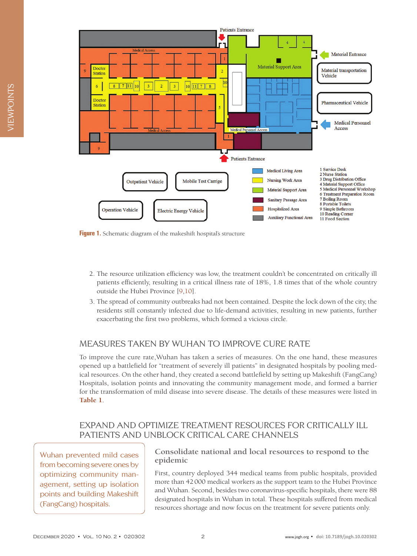<span id="page-1-0"></span>

**Figure 1.** Schematic diagram of the makeshift hospital's structure

- 2. The resource utilization efficiency was low, the treatment couldn't be concentrated on critically ill patients efficiently, resulting in a critical illness rate of 18%, 1.8 times that of the whole country outside the Hubei Province [[9](#page-6-5),[10](#page-6-6)].
- 3. The spread of community outbreaks had not been contained. Despite the lock down of the city, the residents still constantly infected due to life-demand activities, resulting in new patients, further exacerbating the first two problems, which formed a vicious circle.

## MEASURES TAKEN BY WUHAN TO IMPROVE CURE RATE

To improve the cure rate,Wuhan has taken a series of measures. On the one hand, these measures opened up a battlefield for "treatment of severely ill patients" in designated hospitals by pooling medical resources. On the other hand, they created a second battlefield by setting up Makeshift (FangCang) Hospitals, isolation points and innovating the community management mode, and formed a barrier for the transformation of mild disease into severe disease. The details of these measures were listed in **[Table 1](#page-2-0)**.

## EXPAND AND OPTIMIZE TREATMENT RESOURCES FOR CRITICALLY ILL PATIENTS AND UNBLOCK CRITICAL CARE CHANNELS

Wuhan prevented mild cases from becoming severe ones by optimizing community management, setting up isolation points and building Makeshift (FangCang) hospitals.

#### **Consolidate national and local resources to respond to the epidemic**

First, country deployed 344 medical teams from public hospitals, provided more than 42000 medical workers as the support team to the Hubei Province and Wuhan. Second, besides two coronavirus-specific hospitals, there were 88 designated hospitals in Wuhan in total. These hospitals suffered from medical resources shortage and now focus on the treatment for severe patients only.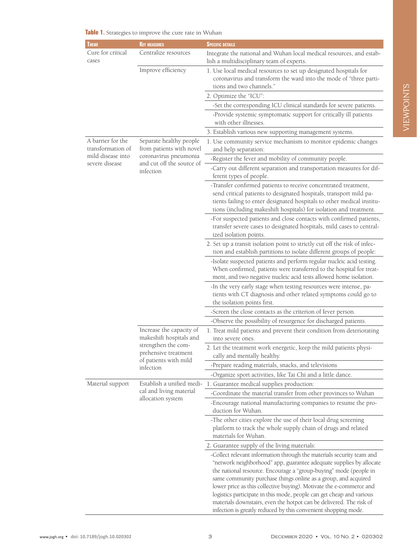| <b>THEME</b>                                                                  | <b>KEY MEASURES</b>                                                                                                                      | <b>SPECIFIC DETAILS</b>                                                                                                                                                                                                                                                                                                                                                                                                                                                                                   |
|-------------------------------------------------------------------------------|------------------------------------------------------------------------------------------------------------------------------------------|-----------------------------------------------------------------------------------------------------------------------------------------------------------------------------------------------------------------------------------------------------------------------------------------------------------------------------------------------------------------------------------------------------------------------------------------------------------------------------------------------------------|
| Cure for critical<br>cases                                                    | Centralize resources                                                                                                                     | Integrate the national and Wuhan local medical resources, and estab-<br>lish a multidisciplinary team of experts.                                                                                                                                                                                                                                                                                                                                                                                         |
|                                                                               | Improve efficiency                                                                                                                       | 1. Use local medical resources to set up designated hospitals for<br>coronavirus and transform the ward into the mode of "three parti-<br>tions and two channels."                                                                                                                                                                                                                                                                                                                                        |
|                                                                               |                                                                                                                                          | 2. Optimize the "ICU":                                                                                                                                                                                                                                                                                                                                                                                                                                                                                    |
|                                                                               |                                                                                                                                          | -Set the corresponding ICU clinical standards for severe patients.                                                                                                                                                                                                                                                                                                                                                                                                                                        |
|                                                                               |                                                                                                                                          | -Provide systemic symptomatic support for critically ill patients<br>with other illnesses.                                                                                                                                                                                                                                                                                                                                                                                                                |
|                                                                               |                                                                                                                                          | 3. Establish various new supporting management systems.                                                                                                                                                                                                                                                                                                                                                                                                                                                   |
| A barrier for the<br>transformation of<br>mild disease into<br>severe disease | Separate healthy people<br>from patients with novel<br>coronavirus pneumonia<br>and cut off the source of<br>infection                   | 1. Use community service mechanism to monitor epidemic changes<br>and help separation:                                                                                                                                                                                                                                                                                                                                                                                                                    |
|                                                                               |                                                                                                                                          | -Register the fever and mobility of community people.                                                                                                                                                                                                                                                                                                                                                                                                                                                     |
|                                                                               |                                                                                                                                          | -Carry out different separation and transportation measures for dif-<br>ferent types of people.                                                                                                                                                                                                                                                                                                                                                                                                           |
|                                                                               |                                                                                                                                          | -Transfer confirmed patients to receive concentrated treatment,<br>send critical patients to designated hospitals, transport mild pa-<br>tients failing to enter designated hospitals to other medical institu-<br>tions (including makeshift hospitals) for isolation and treatment.                                                                                                                                                                                                                     |
|                                                                               |                                                                                                                                          | -For suspected patients and close contacts with confirmed patients,<br>transfer severe cases to designated hospitals, mild cases to central-<br>ized isolation points.                                                                                                                                                                                                                                                                                                                                    |
|                                                                               |                                                                                                                                          | 2. Set up a transit isolation point to strictly cut off the risk of infec-<br>tion and establish partitions to isolate different groups of people:                                                                                                                                                                                                                                                                                                                                                        |
|                                                                               |                                                                                                                                          | -Isolate suspected patients and perform regular nucleic acid testing.<br>When confirmed, patients were transferred to the hospital for treat-<br>ment, and two negative nucleic acid tests allowed home isolation.                                                                                                                                                                                                                                                                                        |
|                                                                               |                                                                                                                                          | -In the very early stage when testing resources were intense, pa-<br>tients with CT diagnosis and other related symptoms could go to<br>the isolation points first.                                                                                                                                                                                                                                                                                                                                       |
|                                                                               |                                                                                                                                          | -Screen the close contacts as the criterion of fever person.                                                                                                                                                                                                                                                                                                                                                                                                                                              |
|                                                                               |                                                                                                                                          | -Observe the possibility of resurgence for discharged patients.                                                                                                                                                                                                                                                                                                                                                                                                                                           |
|                                                                               | Increase the capacity of<br>makeshift hospitals and<br>strengthen the com-<br>prehensive treatment<br>of patients with mild<br>infection | 1. Treat mild patients and prevent their condition from deteriorating<br>into severe ones.                                                                                                                                                                                                                                                                                                                                                                                                                |
|                                                                               |                                                                                                                                          | 2. Let the treatment work energetic, keep the mild patients physi-<br>cally and mentally healthy.                                                                                                                                                                                                                                                                                                                                                                                                         |
|                                                                               |                                                                                                                                          | -Prepare reading materials, snacks, and televisions                                                                                                                                                                                                                                                                                                                                                                                                                                                       |
|                                                                               |                                                                                                                                          | -Organize sport activities, like Tai Chi and a little dance.                                                                                                                                                                                                                                                                                                                                                                                                                                              |
| Material support                                                              | Establish a unified medi-<br>cal and living material<br>allocation system                                                                | 1. Guarantee medical supplies production:                                                                                                                                                                                                                                                                                                                                                                                                                                                                 |
|                                                                               |                                                                                                                                          | -Coordinate the material transfer from other provinces to Wuhan                                                                                                                                                                                                                                                                                                                                                                                                                                           |
|                                                                               |                                                                                                                                          | -Encourage national manufacturing companies to resume the pro-<br>duction for Wuhan.                                                                                                                                                                                                                                                                                                                                                                                                                      |
|                                                                               |                                                                                                                                          | -The other cities explore the use of their local drug screening<br>platform to track the whole supply chain of drugs and related<br>materials for Wuhan.                                                                                                                                                                                                                                                                                                                                                  |
|                                                                               |                                                                                                                                          | 2. Guarantee supply of the living materials:                                                                                                                                                                                                                                                                                                                                                                                                                                                              |
|                                                                               |                                                                                                                                          | -Collect relevant information through the materials security team and<br>"network neighborhood" app, guarantee adequate supplies by allocate<br>the national resource. Encourage a "group-buying" mode (people in<br>same community purchase things online as a group, and acquired<br>lower price as this collective buying). Motivate the e-commerce and<br>logistics participate in this mode, people can get cheap and various<br>materials downstairs, even the hotpot can be delivered. The risk of |

#### <span id="page-2-0"></span>**Table 1.** Strategies to improve the cure rate in Wuhan

infection is greatly reduced by this convenient shopping mode.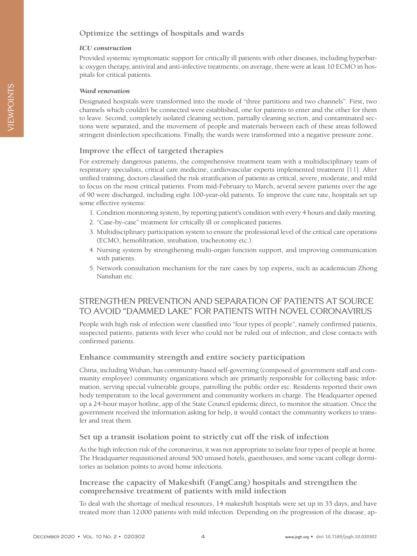#### **Optimize the settings of hospitals and wards**

#### *ICU construction*

Provided systemic symptomatic support for critically ill patients with other diseases, including hyperbaric oxygen therapy, antiviral and anti-infective treatments; on average, there were at least 10 ECMO in hospitals for critical patients.

#### *Ward renovation*

Designated hospitals were transformed into the mode of "three partitions and two channels". First, two channels which couldn't be connected were established, one for patients to enter and the other for them to leave. Second, completely isolated cleaning section, partially cleaning section, and contaminated sections were separated, and the movement of people and materials between each of these areas followed stringent disinfection specifications. Finally, the wards were transformed into a negative pressure zone.

#### **Improve the effect of targeted therapies**

For extremely dangerous patients, the comprehensive treatment team with a multidisciplinary team of respiratory specialists, critical care medicine, cardiovascular experts implemented treatment [[11](#page-6-7)]. After unified training, doctors classified the risk stratification of patients as critical, severe, moderate, and mild to focus on the most critical patients. From mid-February to March, several severe patients over the age of 90 were discharged, including eight 100-year-old patients. To improve the cure rate, hospitals set up some effective systems:

- 1. Condition monitoring system, by reporting patient's condition with every 4 hours and daily meeting.
- 2. "Case-by-case" treatment for critically ill or complicated patients.
- 3. Multidisciplinary participation system to ensure the professional level of the critical care operations (ECMO, hemofiltration, intubation, tracheotomy etc.).
- 4. Nursing system by strengthening multi-organ function support, and improving communication with patients.
- 5. Network consultation mechanism for the rare cases by top experts, such as academician Zhong Nanshan etc.

## STRENGTHEN PREVENTION AND SEPARATION OF PATIENTS AT SOURCE TO AVOID "DAMMED LAKE" FOR PATIENTS WITH NOVEL CORONAVIRUS

People with high risk of infection were classified into "four types of people", namely confirmed patients, suspected patients, patients with fever who could not be ruled out of infection, and close contacts with confirmed patients.

#### **Enhance community strength and entire society participation**

China, including Wuhan, has community-based self-governing (composed of government staff and community employee) community organizations which are primarily responsible for collecting basic information, serving special vulnerable groups, patrolling the public order etc. Residents reported their own body temperature to the local government and community workers in charge. The Headquarter opened up a 24-hour mayor hotline, app of the State Council epidemic direct, to monitor the situation. Once the government received the information asking for help, it would contact the community workers to transfer and treat them.

#### **Set up a transit isolation point to strictly cut off the risk of infection**

As the high infection risk of the coronavirus, it was not appropriate to isolate four types of people at home. The Headquarter requisitioned around 500 unused hotels, guesthouses, and some vacant college dormitories as isolation points to avoid home infections.

#### **Increase the capacity of Makeshift (FangCang) hospitals and strengthen the comprehensive treatment of patients with mild infection**

To deal with the shortage of medical resources, 14 makeshift hospitals were set up in 35 days, and have treated more than 12000 patients with mild infection. Depending on the progression of the disease, ap-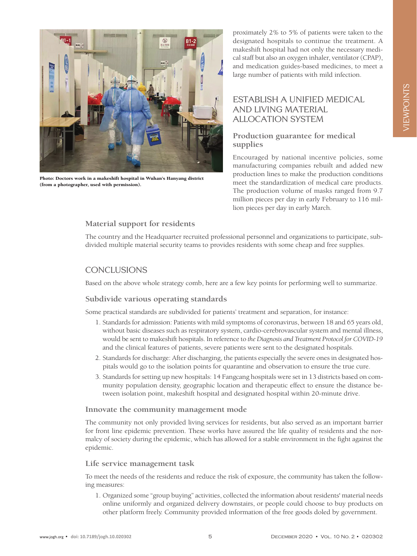

Photo: Doctors work in a makeshift hospital in Wuhan's Hanyang district (from a photographer, used with permission).

proximately 2% to 5% of patients were taken to the designated hospitals to continue the treatment. A makeshift hospital had not only the necessary medical staff but also an oxygen inhaler, ventilator (CPAP), and medication guides-based medicines, to meet a large number of patients with mild infection.

## ESTABLISH A UNIFIED MEDICAL AND LIVING MATERIAL ALLOCATION SYSTEM

#### **Production guarantee for medical supplies**

Encouraged by national incentive policies, some manufacturing companies rebuilt and added new production lines to make the production conditions meet the standardization of medical care products. The production volume of masks ranged from 9.7 million pieces per day in early February to 116 million pieces per day in early March.

### **Material support for residents**

The country and the Headquarter recruited professional personnel and organizations to participate, subdivided multiple material security teams to provides residents with some cheap and free supplies.

## **CONCLUSIONS**

Based on the above whole strategy comb, here are a few key points for performing well to summarize.

#### **Subdivide various operating standards**

Some practical standards are subdivided for patients' treatment and separation, for instance:

- 1. Standards for admission: Patients with mild symptoms of coronavirus, between 18 and 65 years old, without basic diseases such as respiratory system, cardio-cerebrovascular system and mental illness, would be sent to makeshift hospitals. In reference to *the Diagnosis and Treatment Protocol for COVID-19* and the clinical features of patients, severe patients were sent to the designated hospitals.
- 2. Standards for discharge: After discharging, the patients especially the severe ones in designated hospitals would go to the isolation points for quarantine and observation to ensure the true cure.
- 3. Standards for setting up new hospitals: 14 Fangcang hospitals were set in 13 districts based on community population density, geographic location and therapeutic effect to ensure the distance between isolation point, makeshift hospital and designated hospital within 20-minute drive.

#### **Innovate the community management mode**

The community not only provided living services for residents, but also served as an important barrier for front line epidemic prevention. These works have assured the life quality of residents and the normalcy of society during the epidemic, which has allowed for a stable environment in the fight against the epidemic.

#### **Life service management task**

To meet the needs of the residents and reduce the risk of exposure, the community has taken the following measures:

1. Organized some "group buying" activities, collected the information about residents' material needs online uniformly and organized delivery downstairs, or people could choose to buy products on other platform freely. Community provided information of the free goods doled by government.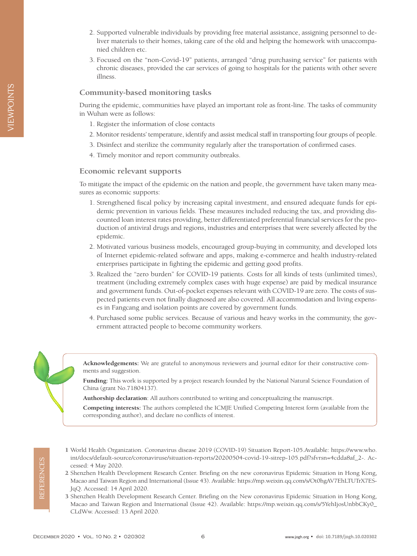- 2. Supported vulnerable individuals by providing free material assistance, assigning personnel to deliver materials to their homes, taking care of the old and helping the homework with unaccompanied children etc.
- 3. Focused on the "non-Covid-19" patients, arranged "drug purchasing service" for patients with chronic diseases, provided the car services of going to hospitals for the patients with other severe illness.

#### **Community-based monitoring tasks**

During the epidemic, communities have played an important role as front-line. The tasks of community in Wuhan were as follows:

- 1. Register the information of close contacts
- 2. Monitor residents' temperature, identify and assist medical staff in transporting four groups of people.
- 3. Disinfect and sterilize the community regularly after the transportation of confirmed cases.
- 4. Timely monitor and report community outbreaks.

#### **Economic relevant supports**

To mitigate the impact of the epidemic on the nation and people, the government have taken many measures as economic supports:

- 1. Strengthened fiscal policy by increasing capital investment, and ensured adequate funds for epidemic prevention in various fields. These measures included reducing the tax, and providing discounted loan interest rates providing, better differentiated preferential financial services for the production of antiviral drugs and regions, industries and enterprises that were severely affected by the epidemic.
- 2. Motivated various business models, encouraged group-buying in community, and developed lots of Internet epidemic-related software and apps, making e-commerce and health industry-related enterprises participate in fighting the epidemic and getting good profits.
- 3. Realized the "zero burden" for COVID-19 patients. Costs for all kinds of tests (unlimited times), treatment (including extremely complex cases with huge expense) are paid by medical insurance and government funds. Out-of-pocket expenses relevant with COVID-19 are zero. The costs of suspected patients even not finally diagnosed are also covered. All accommodation and living expenses in Fangcang and isolation points are covered by government funds.
- 4. Purchased some public services. Because of various and heavy works in the community, the government attracted people to become community workers.



**Acknowledgements:** We are grateful to anonymous reviewers and journal editor for their constructive comments and suggestion.

**Funding:** This work is supported by a project research founded by the National Natural Science Foundation of China (grant No.71804137).

**Authorship declaration**: All authors contributed to writing and conceptualizing the manuscript.

**Competing interests:** The authors completed the ICMJE Unified Competing Interest form (available from the corresponding author), and declare no conflicts of interest.

- <span id="page-5-0"></span> 1 World Health Organization. Coronavirus disease 2019 (COVID-19) Situation Report-105.Available: [https://www.who.](https://www.who.int/docs/default-source/coronaviruse/situation-reports/20200504-covid-19-sitrep-105.pdf?sfvrsn=4cdda8af_2-) [int/docs/default-source/coronaviruse/situation-reports/20200504-covid-19-sitrep-105.pdf?sfvrsn=4cdda8af\\_2-.](https://www.who.int/docs/default-source/coronaviruse/situation-reports/20200504-covid-19-sitrep-105.pdf?sfvrsn=4cdda8af_2-) Accessed: 4 May 2020.
- <span id="page-5-1"></span> 2 Shenzhen Health Development Research Center. Briefing on the new coronavirus Epidemic Situation in Hong Kong, Macao and Taiwan Region and International (Issue 43). Available: [https://mp.weixin.qq.com/s/Ot0hgAV7EhLTUTrX7ES-](https://mp.weixin.qq.com/s/Ot0hgAV7EhLTUTrX7ESJqQ)[JqQ](https://mp.weixin.qq.com/s/Ot0hgAV7EhLTUTrX7ESJqQ). Accessed: 14 April 2020.
- <span id="page-5-2"></span> 3 Shenzhen Health Development Research Center. Briefing on the New coronavirus Epidemic Situation in Hong Kong, Macao and Taiwan Region and International (Issue 42). Available: [https://mp.weixin.qq.com/s/5YehIjosUnbbCKy0\\_](https://mp.weixin.qq.com/s/5YehIjosUnbbCKy0_CLdWw) [CLdWw.](https://mp.weixin.qq.com/s/5YehIjosUnbbCKy0_CLdWw) Accessed: 13 April 2020.

REFERENCES

**REFERENCES**